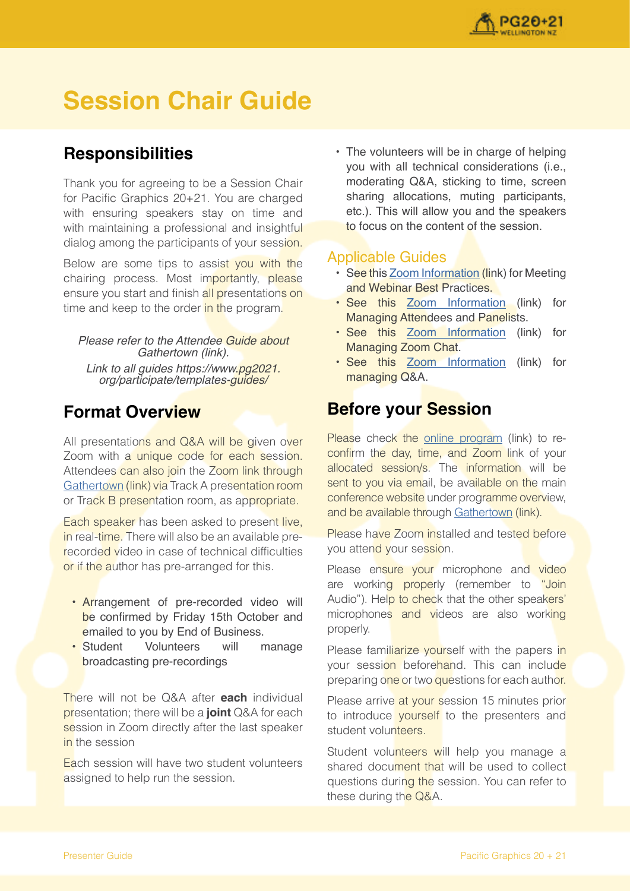

# **Session Chair Guide**

# **Responsibilities**

Thank you for agreeing to be a Session Chair for Pacific Graphics 20+21. You are charged with ensuring speakers stay on time and with maintaining a professional and insightful dialog among the participants of your session.

Below are some tips to assist you with the chairing process. Most importantly, please ensure you start and finish all presentations on time and keep to the order in the program.

#### Please refer to the Attendee Guide about Gathertown (link). Link to all guides https://www.pg2021.

org/participate/templates-guides/

# **Format Overview**

All presentations and Q&A will be given over Zoom with a unique code for each session. Attendees can also join the Zoom link through [Gathertown](https://gather.town/app/GEJPI5vneJ2DLgqn/Pacific%20Graphics%202021) (link) via Track A presentation room or Track B presentation room, as appropriate.

Each speaker has been asked to present live, in real-time. There will also be an available prerecorded video in case of technical difficulties or if the author has pre-arranged for this.

- Arrangement of pre-recorded video will be confirmed by Friday 15th October and emailed to you by End of Business.<br>Student Volunteers will r
- Student Volunteers will manage broadcasting pre-recordings

There will not be Q&A after **each** individual presentation; there will be a **joint** Q&A for each session in Zoom directly after the last speaker in the session

Each session will have two student volunteers assigned to help run the session.

• The volunteers will be in charge of helping you with all technical considerations (i.e., moderating Q&A, sticking to time, screen sharing allocations, muting participants, etc.). This will allow you and the speakers to focus on the content of the session.

### Applicable Guides

- See this [Zoom Information](https://support.zoom.us/hc/en-us/articles/209743263-Meeting-and-Webinar-Best-Practices-and-Resources) (link) for Meeting and Webinar Best Practices.
- See this [Zoom Information](https://support.zoom.us/hc/en-us/articles/115004834466-Managing-Participants-in-Webinar) (link) for Managing Attendees and Panelists.
- See this [Zoom Information](https://support.zoom.us/hc/en-us/articles/203650445-In-meeting-chat) (link) for Managing Zoom Chat.
- See this [Zoom Information](https://support.zoom.us/hc/en-us/articles/203686015-Getting-Started-with-Question-Answer) (link) for managing Q&A.

# **Before your Session**

Please check the [online program](https://www.pg2021.org/programme/overview/) (link) to reconfirm the day, time, and Zoom link of your allocated session/s. The information will be sent to you via email, be available on the main conference website under programme overview, and be available through [Gathertown](https://gather.town/app/GEJPI5vneJ2DLgqn/Pacific%20Graphics%202021) (link).

Please have Zoom installed and tested before you attend your session.

Please ensure your microphone and video are working properly (remember to "Join Audio"). Help to check that the other speakers' microphones and videos are also working properly.

Please familiarize vourself with the papers in your session beforehand. This can include preparing one or two questions for each author.

Please arrive at your session 15 minutes prior to introduce yourself to the presenters and student volunteers.

Student volunteers will help you manage a shared document that will be used to collect questions during the session. You can refer to these during the Q&A.